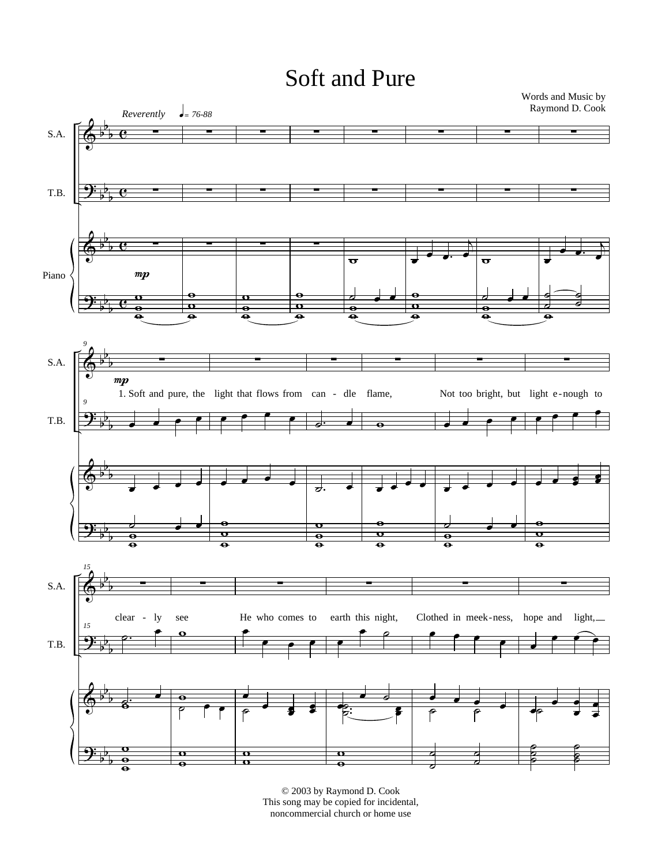## Soft and Pure



© 2003 by Raymond D. Cook This song may be copied for incidental, noncommercial church or home use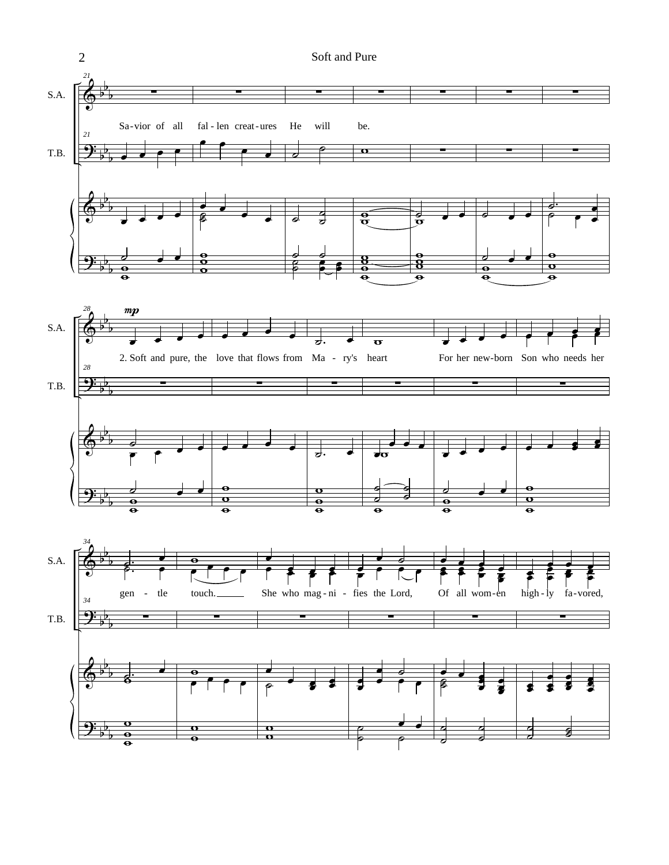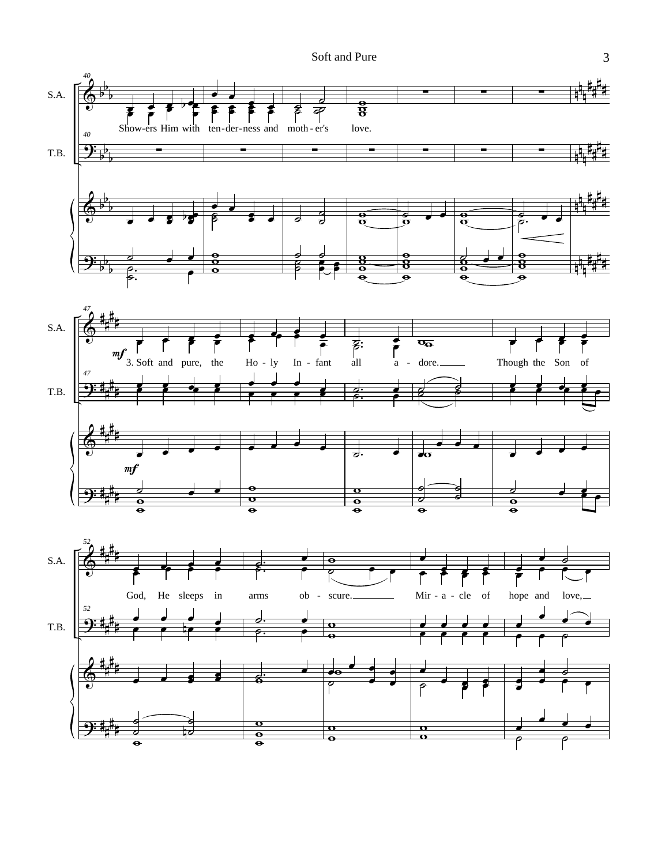Soft and Pure



 $\begin{array}{c|c}\n\hline\n\text{0} & \text{o} \\
\hline\n\text{o} & \text{o} \\
\hline\n\text{o} & \text{o}\n\end{array}$ 

 $\frac{1}{10}$ 

 $\overline{\text{}}$ 

 $\frac{1}{\sigma}$